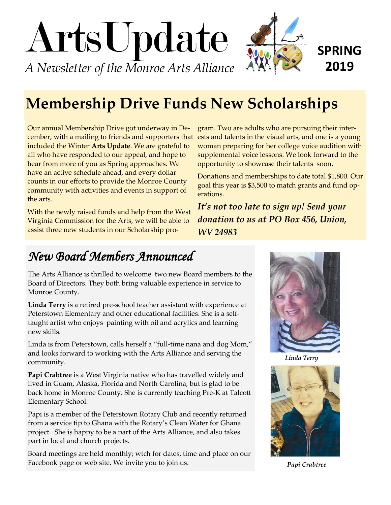

# **Membership Drive Funds New Scholarships**

Our annual Membership Drive got underway in December, with a mailing to friends and supporters that included the Winter **Arts Update**. We are grateful to all who have responded to our appeal, and hope to hear from more of you as Spring approaches. We have an active schedule ahead, and every dollar counts in our efforts to provide the Monroe County community with activities and events in support of the arts.

With the newly raised funds and help from the West Virginia Commission for the Arts, we will be able to assist three new students in our Scholarship pro-

gram. Two are adults who are pursuing their interests and talents in the visual arts, and one is a young woman preparing for her college voice audition with supplemental voice lessons. We look forward to the opportunity to showcase their talents soon.

Donations and memberships to date total \$1,800. Our goal this year is \$3,500 to match grants and fund operations.

*It's not too late to sign up! Send your donation to us at PO Box 456, Union, WV 24983*

## *New Board Members Announced*

The Arts Alliance is thrilled to welcome two new Board members to the Board of Directors. They both bring valuable experience in service to Monroe County.

**Linda Terry** is a retired pre-school teacher assistant with experience at Peterstown Elementary and other educational facilities. She is a selftaught artist who enjoys painting with oil and acrylics and learning new skills.

Linda is from Peterstown, calls herself a "full-time nana and dog Mom," and looks forward to working with the Arts Alliance and serving the community.

**Papi Crabtree** is a West Virginia native who has travelled widely and lived in Guam, Alaska, Florida and North Carolina, but is glad to be back home in Monroe County. She is currently teaching Pre-K at Talcott Elementary School.

Papi is a member of the Peterstown Rotary Club and recently returned from a service tip to Ghana with the Rotary's Clean Water for Ghana project. She is happy to be a part of the Arts Alliance, and also takes part in local and church projects.

Board meetings are held monthly; wtch for dates, time and place on our Facebook page or web site. We invite you to join us.



*Linda Terry*



*Papi Crabtree*